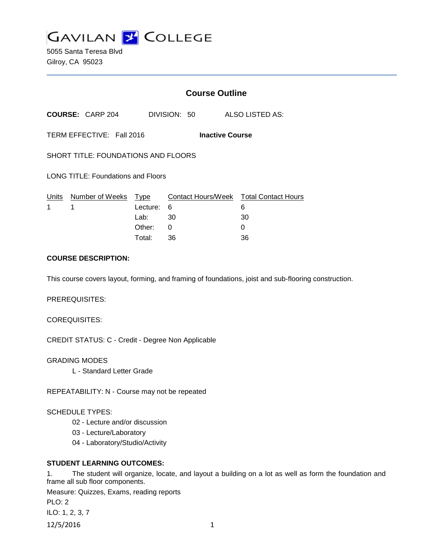

5055 Santa Teresa Blvd Gilroy, CA 95023

|                                                     |                                                                                                                                      | <b>Course Outline</b>                       |         |                    |  |
|-----------------------------------------------------|--------------------------------------------------------------------------------------------------------------------------------------|---------------------------------------------|---------|--------------------|--|
|                                                     | $\textsf{COURSE:} \quad \textsf{CARP 204} \qquad \qquad \textsf{DIVISION:} \quad \textsf{50} \qquad \qquad \textsf{ALSO LISTED AS:}$ |                                             |         |                    |  |
| TERM EFFECTIVE: Fall 2016<br><b>Inactive Course</b> |                                                                                                                                      |                                             |         |                    |  |
| SHORT TITLE: FOUNDATIONS AND FLOORS                 |                                                                                                                                      |                                             |         |                    |  |
| <b>LONG TITLE: Foundations and Floors</b>           |                                                                                                                                      |                                             |         |                    |  |
| 1                                                   | Units Number of Weeks Type Contact Hours/Week Total Contact Hours<br>1                                                               | Lecture: 6<br>Lab: $30$<br>Other:<br>Total: | 0<br>36 | 6<br>30<br>0<br>36 |  |

### **COURSE DESCRIPTION:**

This course covers layout, forming, and framing of foundations, joist and sub-flooring construction.

PREREQUISITES:

COREQUISITES:

CREDIT STATUS: C - Credit - Degree Non Applicable

GRADING MODES

L - Standard Letter Grade

REPEATABILITY: N - Course may not be repeated

#### SCHEDULE TYPES:

- 02 Lecture and/or discussion
- 03 Lecture/Laboratory
- 04 Laboratory/Studio/Activity

### **STUDENT LEARNING OUTCOMES:**

1. The student will organize, locate, and layout a building on a lot as well as form the foundation and frame all sub floor components.

Measure: Quizzes, Exams, reading reports PLO: 2 ILO: 1, 2, 3, 7 12/5/2016 1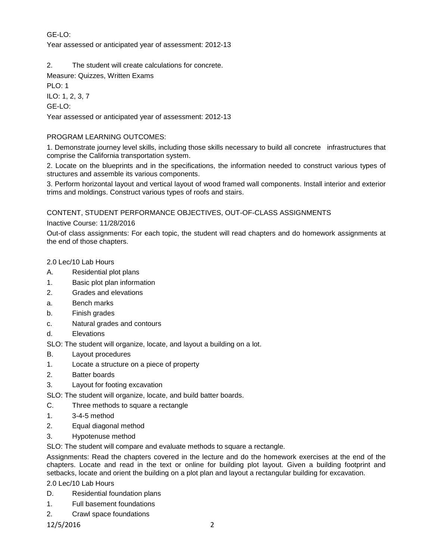# GE-LO:

Year assessed or anticipated year of assessment: 2012-13

2. The student will create calculations for concrete.

Measure: Quizzes, Written Exams

PLO: 1

ILO: 1, 2, 3, 7 GE-LO:

Year assessed or anticipated year of assessment: 2012-13

## PROGRAM LEARNING OUTCOMES:

1. Demonstrate journey level skills, including those skills necessary to build all concrete infrastructures that comprise the California transportation system.

2. Locate on the blueprints and in the specifications, the information needed to construct various types of structures and assemble its various components.

3. Perform horizontal layout and vertical layout of wood framed wall components. Install interior and exterior trims and moldings. Construct various types of roofs and stairs.

CONTENT, STUDENT PERFORMANCE OBJECTIVES, OUT-OF-CLASS ASSIGNMENTS

Inactive Course: 11/28/2016

Out-of class assignments: For each topic, the student will read chapters and do homework assignments at the end of those chapters.

#### 2.0 Lec/10 Lab Hours

- A. Residential plot plans
- 1. Basic plot plan information
- 2. Grades and elevations
- a. Bench marks
- b. Finish grades
- c. Natural grades and contours
- d. Elevations

SLO: The student will organize, locate, and layout a building on a lot.

- B. Layout procedures
- 1. Locate a structure on a piece of property
- 2. Batter boards
- 3. Layout for footing excavation
- SLO: The student will organize, locate, and build batter boards.
- C. Three methods to square a rectangle
- 1. 3-4-5 method
- 2. Equal diagonal method
- 3. Hypotenuse method

SLO: The student will compare and evaluate methods to square a rectangle.

Assignments: Read the chapters covered in the lecture and do the homework exercises at the end of the chapters. Locate and read in the text or online for building plot layout. Given a building footprint and setbacks, locate and orient the building on a plot plan and layout a rectangular building for excavation.

2.0 Lec/10 Lab Hours

- D. Residential foundation plans
- 1. Full basement foundations
- 2. Crawl space foundations

12/5/2016 2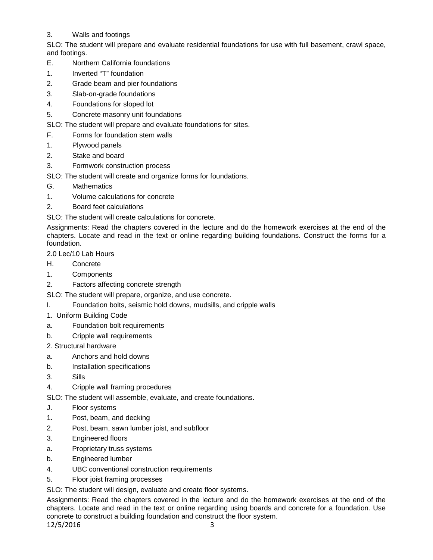# 3. Walls and footings

SLO: The student will prepare and evaluate residential foundations for use with full basement, crawl space, and footings.

- E. Northern California foundations
- 1. Inverted "T" foundation
- 2. Grade beam and pier foundations
- 3. Slab-on-grade foundations
- 4. Foundations for sloped lot
- 5. Concrete masonry unit foundations

SLO: The student will prepare and evaluate foundations for sites.

- F. Forms for foundation stem walls
- 1. Plywood panels
- 2. Stake and board
- 3. Formwork construction process

SLO: The student will create and organize forms for foundations.

- G. Mathematics
- 1. Volume calculations for concrete
- 2. Board feet calculations
- SLO: The student will create calculations for concrete.

Assignments: Read the chapters covered in the lecture and do the homework exercises at the end of the chapters. Locate and read in the text or online regarding building foundations. Construct the forms for a foundation.

2.0 Lec/10 Lab Hours

- H. Concrete
- 1. Components
- 2. Factors affecting concrete strength

SLO: The student will prepare, organize, and use concrete.

- I. Foundation bolts, seismic hold downs, mudsills, and cripple walls
- 1. Uniform Building Code
- a. Foundation bolt requirements
- b. Cripple wall requirements
- 2. Structural hardware
- a. Anchors and hold downs
- b. Installation specifications
- 3. Sills
- 4. Cripple wall framing procedures

SLO: The student will assemble, evaluate, and create foundations.

- J. Floor systems
- 1. Post, beam, and decking
- 2. Post, beam, sawn lumber joist, and subfloor
- 3. Engineered floors
- a. Proprietary truss systems
- b. Engineered lumber
- 4. UBC conventional construction requirements
- 5. Floor joist framing processes

SLO: The student will design, evaluate and create floor systems.

Assignments: Read the chapters covered in the lecture and do the homework exercises at the end of the chapters. Locate and read in the text or online regarding using boards and concrete for a foundation. Use concrete to construct a building foundation and construct the floor system.

12/5/2016 3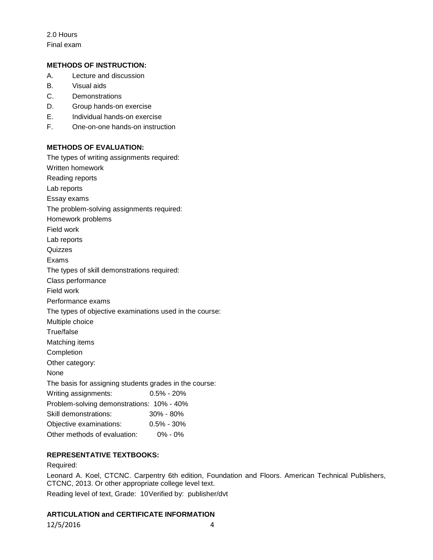2.0 Hours Final exam

#### **METHODS OF INSTRUCTION:**

- A. Lecture and discussion
- B. Visual aids
- C. Demonstrations
- D. Group hands-on exercise
- E. Individual hands-on exercise
- F. One-on-one hands-on instruction

## **METHODS OF EVALUATION:**

The types of writing assignments required: Written homework Reading reports Lab reports Essay exams The problem-solving assignments required: Homework problems Field work Lab reports **Quizzes** Exams The types of skill demonstrations required: Class performance Field work Performance exams The types of objective examinations used in the course: Multiple choice True/false Matching items Completion Other category: None The basis for assigning students grades in the course: Writing assignments: 0.5% - 20% Problem-solving demonstrations: 10% - 40% Skill demonstrations: 30% - 80% Objective examinations: 0.5% - 30% Other methods of evaluation: 0% - 0%

### **REPRESENTATIVE TEXTBOOKS:**

#### Required:

Leonard A. Koel, CTCNC. Carpentry 6th edition, Foundation and Floors. American Technical Publishers, CTCNC, 2013. Or other appropriate college level text. Reading level of text, Grade: 10Verified by: publisher/dvt

### **ARTICULATION and CERTIFICATE INFORMATION**

12/5/2016 4